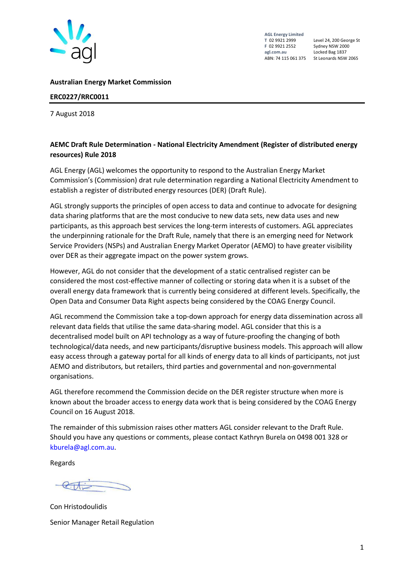

**AGL Energy Limited F** 02 9921 2552 Sydney NSW 2000

Level 24, 200 George St Locked Bag 1837 ABN: 74 115 061 375 St Leonards NSW 2065

#### **Australian Energy Market Commission**

**ERC0227/RRC0011** 

7 August 2018

# **AEMC Draft Rule Determination - National Electricity Amendment (Register of distributed energy resources) Rule 2018**

AGL Energy (AGL) welcomes the opportunity to respond to the Australian Energy Market Commission's (Commission) drat rule determination regarding a National Electricity Amendment to establish a register of distributed energy resources (DER) (Draft Rule).

AGL strongly supports the principles of open access to data and continue to advocate for designing data sharing platforms that are the most conducive to new data sets, new data uses and new participants, as this approach best services the long-term interests of customers. AGL appreciates the underpinning rationale for the Draft Rule, namely that there is an emerging need for Network Service Providers (NSPs) and Australian Energy Market Operator (AEMO) to have greater visibility over DER as their aggregate impact on the power system grows.

However, AGL do not consider that the development of a static centralised register can be considered the most cost-effective manner of collecting or storing data when it is a subset of the overall energy data framework that is currently being considered at different levels. Specifically, the Open Data and Consumer Data Right aspects being considered by the COAG Energy Council.

AGL recommend the Commission take a top-down approach for energy data dissemination across all relevant data fields that utilise the same data-sharing model. AGL consider that this is a decentralised model built on API technology as a way of future-proofing the changing of both technological/data needs, and new participants/disruptive business models. This approach will allow easy access through a gateway portal for all kinds of energy data to all kinds of participants, not just AEMO and distributors, but retailers, third parties and governmental and non-governmental organisations.

AGL therefore recommend the Commission decide on the DER register structure when more is known about the broader access to energy data work that is being considered by the COAG Energy Council on 16 August 2018.

The remainder of this submission raises other matters AGL consider relevant to the Draft Rule. Should you have any questions or comments, please contact Kathryn Burela on 0498 001 328 or [kburela@agl.com.au.](mailto:kburela@agl.com.au)

Regards

Con Hristodoulidis Senior Manager Retail Regulation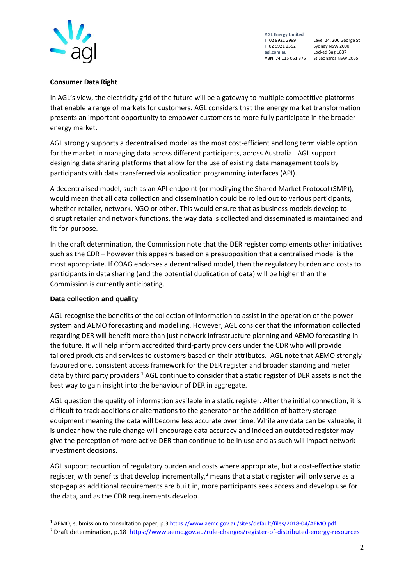

**AGL Energy Limited F** 02 9921 2552 Sydney NSW 2000

Level 24, 200 George St Locked Bag 1837 ABN: 74 115 061 375 St Leonards NSW 2065

#### **Consumer Data Right**

In AGL's view, the electricity grid of the future will be a gateway to multiple competitive platforms that enable a range of markets for customers. AGL considers that the energy market transformation presents an important opportunity to empower customers to more fully participate in the broader energy market.

AGL strongly supports a decentralised model as the most cost-efficient and long term viable option for the market in managing data across different participants, across Australia. AGL support designing data sharing platforms that allow for the use of existing data management tools by participants with data transferred via application programming interfaces (API).

A decentralised model, such as an API endpoint (or modifying the Shared Market Protocol (SMP)), would mean that all data collection and dissemination could be rolled out to various participants, whether retailer, network, NGO or other. This would ensure that as business models develop to disrupt retailer and network functions, the way data is collected and disseminated is maintained and fit-for-purpose.

In the draft determination, the Commission note that the DER register complements other initiatives such as the CDR – however this appears based on a presupposition that a centralised model is the most appropriate. If COAG endorses a decentralised model, then the regulatory burden and costs to participants in data sharing (and the potential duplication of data) will be higher than the Commission is currently anticipating.

# **Data collection and quality**

1

AGL recognise the benefits of the collection of information to assist in the operation of the power system and AEMO forecasting and modelling. However, AGL consider that the information collected regarding DER will benefit more than just network infrastructure planning and AEMO forecasting in the future. It will help inform accredited third-party providers under the CDR who will provide tailored products and services to customers based on their attributes. AGL note that AEMO strongly favoured one, consistent access framework for the DER register and broader standing and meter data by third party providers.<sup>1</sup> AGL continue to consider that a static register of DER assets is not the best way to gain insight into the behaviour of DER in aggregate.

AGL question the quality of information available in a static register. After the initial connection, it is difficult to track additions or alternations to the generator or the addition of battery storage equipment meaning the data will become less accurate over time. While any data can be valuable, it is unclear how the rule change will encourage data accuracy and indeed an outdated register may give the perception of more active DER than continue to be in use and as such will impact network investment decisions.

AGL support reduction of regulatory burden and costs where appropriate, but a cost-effective static register, with benefits that develop incrementally, $<sup>2</sup>$  means that a static register will only serve as a</sup> stop-gap as additional requirements are built in, more participants seek access and develop use for the data, and as the CDR requirements develop.

<sup>1</sup> AEMO, submission to consultation paper, p.3 <https://www.aemc.gov.au/sites/default/files/2018-04/AEMO.pdf>

<sup>2</sup> Draft determination, p.18 <https://www.aemc.gov.au/rule-changes/register-of-distributed-energy-resources>